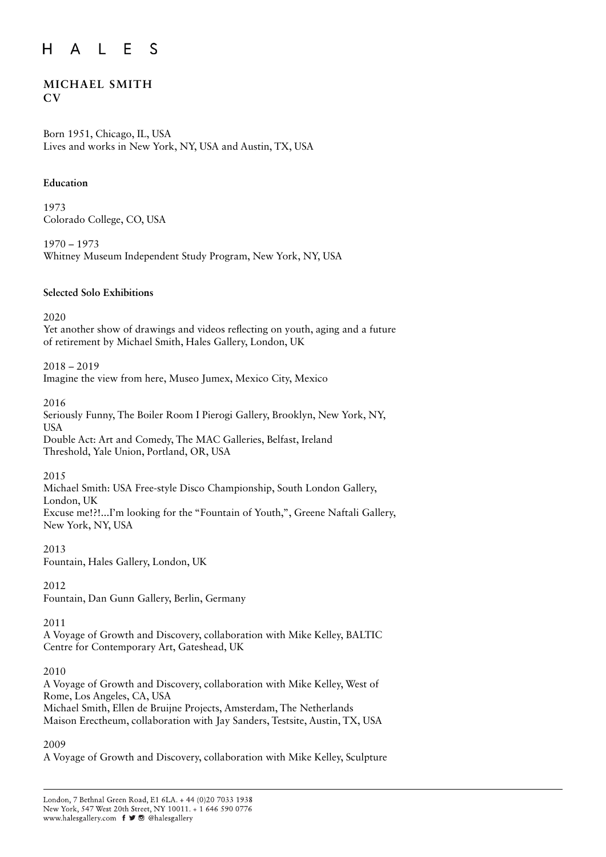#### $E$  $H$  $\mathsf{L}$ <sub>S</sub>  $\mathsf{A}$

### **MICHAEL SMITH CV**

Born 1951, Chicago, IL, USA Lives and works in New York, NY, USA and Austin, TX, USA

### **Education**

1973 Colorado College, CO, USA

1970 – 1973 Whitney Museum Independent Study Program, New York, NY, USA

### **Selected Solo Exhibitions**

2020

Yet another show of drawings and videos reflecting on youth, aging and a future of retirement by Michael Smith, Hales Gallery, London, UK

 $2018 - 2019$ 

Imagine the view from here, Museo Jumex, Mexico City, Mexico

2016

Seriously Funny, The Boiler Room I Pierogi Gallery, Brooklyn, New York, NY, USA Double Act: Art and Comedy, The MAC Galleries, Belfast, Ireland Threshold, Yale Union, Portland, OR, USA

2015

Michael Smith: USA Free-style Disco Championship, South London Gallery, London, UK Excuse me!?!...I'm looking for the "Fountain of Youth,", Greene Naftali Gallery, New York, NY, USA

2013 Fountain, Hales Gallery, London, UK

2012

Fountain, Dan Gunn Gallery, Berlin, Germany

2011

A Voyage of Growth and Discovery, collaboration with Mike Kelley, BALTIC Centre for Contemporary Art, Gateshead, UK

### 2010

A Voyage of Growth and Discovery, collaboration with Mike Kelley, West of Rome, Los Angeles, CA, USA Michael Smith, Ellen de Bruijne Projects, Amsterdam, The Netherlands Maison Erectheum, collaboration with Jay Sanders, Testsite, Austin, TX, USA

# 2009

A Voyage of Growth and Discovery, collaboration with Mike Kelley, Sculpture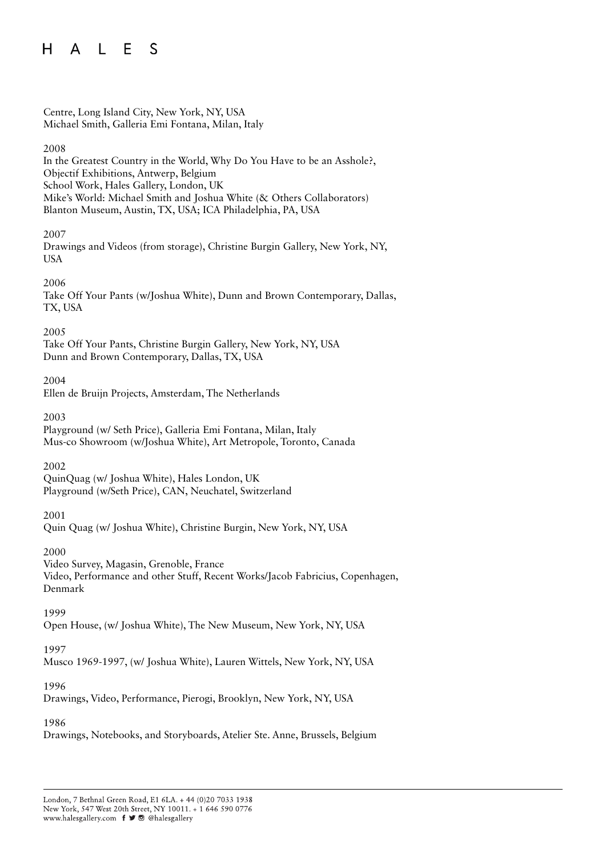Centre, Long Island City, New York, NY, USA Michael Smith, Galleria Emi Fontana, Milan, Italy

### 2008

In the Greatest Country in the World, Why Do You Have to be an Asshole?, Objectif Exhibitions, Antwerp, Belgium School Work, Hales Gallery, London, UK Mike's World: Michael Smith and Joshua White (& Others Collaborators) Blanton Museum, Austin, TX, USA; ICA Philadelphia, PA, USA

### 2007

Drawings and Videos (from storage), Christine Burgin Gallery, New York, NY, USA

### 2006

Take Off Your Pants (w/Joshua White), Dunn and Brown Contemporary, Dallas, TX, USA

### 2005

Take Off Your Pants, Christine Burgin Gallery, New York, NY, USA Dunn and Brown Contemporary, Dallas, TX, USA

### 2004

Ellen de Bruijn Projects, Amsterdam, The Netherlands

### 2003

Playground (w/ Seth Price), Galleria Emi Fontana, Milan, Italy Mus-co Showroom (w/Joshua White), Art Metropole, Toronto, Canada

### 2002

QuinQuag (w/ Joshua White), Hales London, UK Playground (w/Seth Price), CAN, Neuchatel, Switzerland

# 2001

Quin Quag (w/ Joshua White), Christine Burgin, New York, NY, USA

### 2000

Video Survey, Magasin, Grenoble, France Video, Performance and other Stuff, Recent Works/Jacob Fabricius, Copenhagen, Denmark

### 1999

Open House, (w/ Joshua White), The New Museum, New York, NY, USA

# 1997

Musco 1969-1997, (w/ Joshua White), Lauren Wittels, New York, NY, USA

### 1996

Drawings, Video, Performance, Pierogi, Brooklyn, New York, NY, USA

### 1986

Drawings, Notebooks, and Storyboards, Atelier Ste. Anne, Brussels, Belgium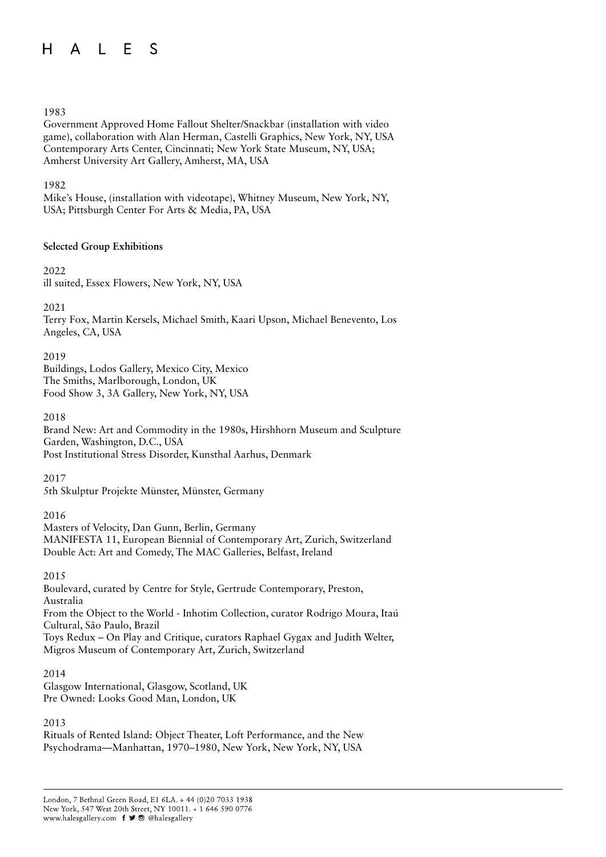# HALES

### 1983

Government Approved Home Fallout Shelter/Snackbar (installation with video game), collaboration with Alan Herman, Castelli Graphics, New York, NY, USA Contemporary Arts Center, Cincinnati; New York State Museum, NY, USA; Amherst University Art Gallery, Amherst, MA, USA

1982

Mike's House, (installation with videotape), Whitney Museum, New York, NY, USA; Pittsburgh Center For Arts & Media, PA, USA

### **Selected Group Exhibitions**

2022

ill suited, Essex Flowers, New York, NY, USA

2021

Terry Fox, Martin Kersels, Michael Smith, Kaari Upson, Michael Benevento, Los Angeles, CA, USA

2019

Buildings, Lodos Gallery, Mexico City, Mexico The Smiths, Marlborough, London, UK Food Show 3, 3A Gallery, New York, NY, USA

2018

Brand New: Art and Commodity in the 1980s, Hirshhorn Museum and Sculpture Garden, Washington, D.C., USA Post Institutional Stress Disorder, Kunsthal Aarhus, Denmark

2017

5th Skulptur Projekte Münster, Münster, Germany

2016

Masters of Velocity, Dan Gunn, Berlin, Germany MANIFESTA 11, European Biennial of Contemporary Art, Zurich, Switzerland Double Act: Art and Comedy, The MAC Galleries, Belfast, Ireland

2015

Boulevard, curated by Centre for Style, Gertrude Contemporary, Preston, Australia From the Object to the World - Inhotim Collection, curator Rodrigo Moura, Itaú Cultural, São Paulo, Brazil Toys Redux – On Play and Critique, curators Raphael Gygax and Judith Welter, Migros Museum of Contemporary Art, Zurich, Switzerland

2014

Glasgow International, Glasgow, Scotland, UK Pre Owned: Looks Good Man, London, UK

### 2013

Rituals of Rented Island: Object Theater, Loft Performance, and the New Psychodrama—Manhattan, 1970–1980, New York, New York, NY, USA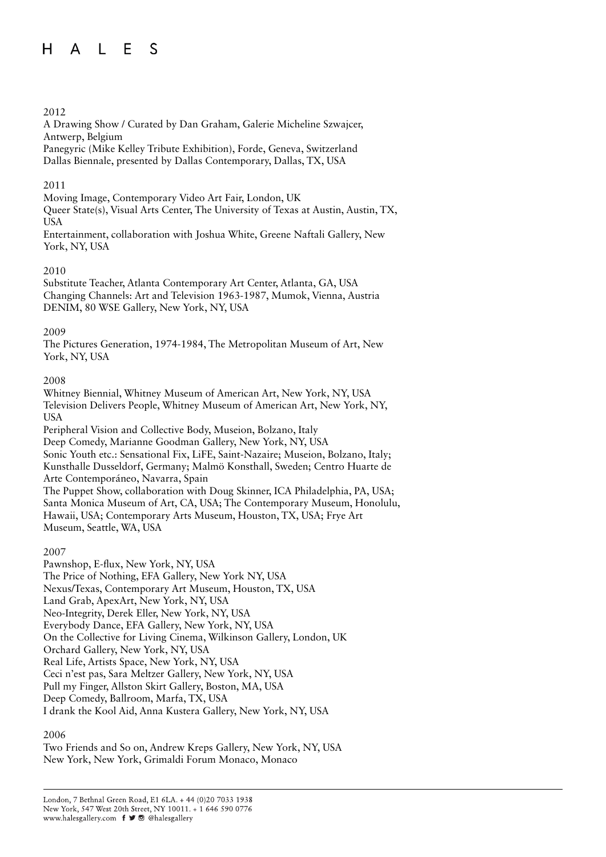### 2012

A Drawing Show / Curated by Dan Graham, Galerie Micheline Szwajcer, Antwerp, Belgium Panegyric (Mike Kelley Tribute Exhibition), Forde, Geneva, Switzerland

Dallas Biennale, presented by Dallas Contemporary, Dallas, TX, USA

### 2011

Moving Image, Contemporary Video Art Fair, London, UK

Queer State(s), Visual Arts Center, The University of Texas at Austin, Austin, TX, USA

Entertainment, collaboration with Joshua White, Greene Naftali Gallery, New York, NY, USA

### 2010

Substitute Teacher, Atlanta Contemporary Art Center, Atlanta, GA, USA Changing Channels: Art and Television 1963-1987, Mumok, Vienna, Austria DENIM, 80 WSE Gallery, New York, NY, USA

### 2009

The Pictures Generation, 1974-1984, The Metropolitan Museum of Art, New York, NY, USA

### 2008

Whitney Biennial, Whitney Museum of American Art, New York, NY, USA Television Delivers People, Whitney Museum of American Art, New York, NY, USA

Peripheral Vision and Collective Body, Museion, Bolzano, Italy Deep Comedy, Marianne Goodman Gallery, New York, NY, USA Sonic Youth etc.: Sensational Fix, LiFE, Saint-Nazaire; Museion, Bolzano, Italy; Kunsthalle Dusseldorf, Germany; Malmö Konsthall, Sweden; Centro Huarte de Arte Contemporáneo, Navarra, Spain The Puppet Show, collaboration with Doug Skinner, ICA Philadelphia, PA, USA;

Santa Monica Museum of Art, CA, USA; The Contemporary Museum, Honolulu, Hawaii, USA; Contemporary Arts Museum, Houston, TX, USA; Frye Art Museum, Seattle, WA, USA

### 2007

Pawnshop, E-flux, New York, NY, USA The Price of Nothing, EFA Gallery, New York NY, USA Nexus/Texas, Contemporary Art Museum, Houston, TX, USA Land Grab, ApexArt, New York, NY, USA Neo-Integrity, Derek Eller, New York, NY, USA Everybody Dance, EFA Gallery, New York, NY, USA On the Collective for Living Cinema, Wilkinson Gallery, London, UK Orchard Gallery, New York, NY, USA Real Life, Artists Space, New York, NY, USA Ceci n'est pas, Sara Meltzer Gallery, New York, NY, USA Pull my Finger, Allston Skirt Gallery, Boston, MA, USA Deep Comedy, Ballroom, Marfa, TX, USA I drank the Kool Aid, Anna Kustera Gallery, New York, NY, USA

# 2006

Two Friends and So on, Andrew Kreps Gallery, New York, NY, USA New York, New York, Grimaldi Forum Monaco, Monaco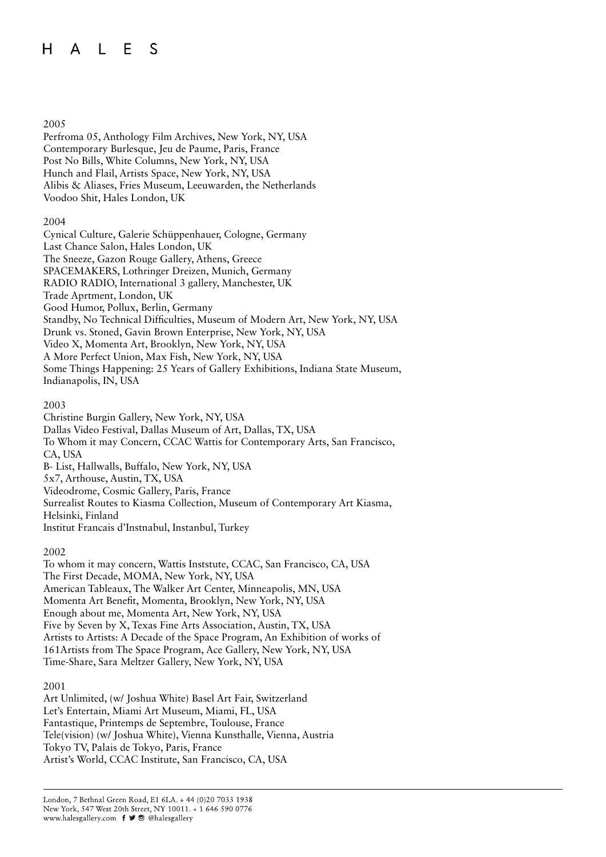### 2005

Perfroma 05, Anthology Film Archives, New York, NY, USA Contemporary Burlesque, Jeu de Paume, Paris, France Post No Bills, White Columns, New York, NY, USA Hunch and Flail, Artists Space, New York, NY, USA Alibis & Aliases, Fries Museum, Leeuwarden, the Netherlands Voodoo Shit, Hales London, UK

### 2004

Cynical Culture, Galerie Schüppenhauer, Cologne, Germany Last Chance Salon, Hales London, UK The Sneeze, Gazon Rouge Gallery, Athens, Greece SPACEMAKERS, Lothringer Dreizen, Munich, Germany RADIO RADIO, International 3 gallery, Manchester, UK Trade Aprtment, London, UK Good Humor, Pollux, Berlin, Germany Standby, No Technical Difficulties, Museum of Modern Art, New York, NY, USA Drunk vs. Stoned, Gavin Brown Enterprise, New York, NY, USA Video X, Momenta Art, Brooklyn, New York, NY, USA A More Perfect Union, Max Fish, New York, NY, USA Some Things Happening: 25 Years of Gallery Exhibitions, Indiana State Museum, Indianapolis, IN, USA

### 2003

Christine Burgin Gallery, New York, NY, USA Dallas Video Festival, Dallas Museum of Art, Dallas, TX, USA To Whom it may Concern, CCAC Wattis for Contemporary Arts, San Francisco, CA, USA B- List, Hallwalls, Buffalo, New York, NY, USA 5x7, Arthouse, Austin, TX, USA Videodrome, Cosmic Gallery, Paris, France Surrealist Routes to Kiasma Collection, Museum of Contemporary Art Kiasma, Helsinki, Finland Institut Francais d'Instnabul, Instanbul, Turkey

### 2002

To whom it may concern, Wattis Inststute, CCAC, San Francisco, CA, USA The First Decade, MOMA, New York, NY, USA American Tableaux, The Walker Art Center, Minneapolis, MN, USA Momenta Art Benefit, Momenta, Brooklyn, New York, NY, USA Enough about me, Momenta Art, New York, NY, USA Five by Seven by X, Texas Fine Arts Association, Austin, TX, USA Artists to Artists: A Decade of the Space Program, An Exhibition of works of 161Artists from The Space Program, Ace Gallery, New York, NY, USA Time-Share, Sara Meltzer Gallery, New York, NY, USA

### 2001

Art Unlimited, (w/ Joshua White) Basel Art Fair, Switzerland Let's Entertain, Miami Art Museum, Miami, FL, USA Fantastique, Printemps de Septembre, Toulouse, France Tele(vision) (w/ Joshua White), Vienna Kunsthalle, Vienna, Austria Tokyo TV, Palais de Tokyo, Paris, France Artist's World, CCAC Institute, San Francisco, CA, USA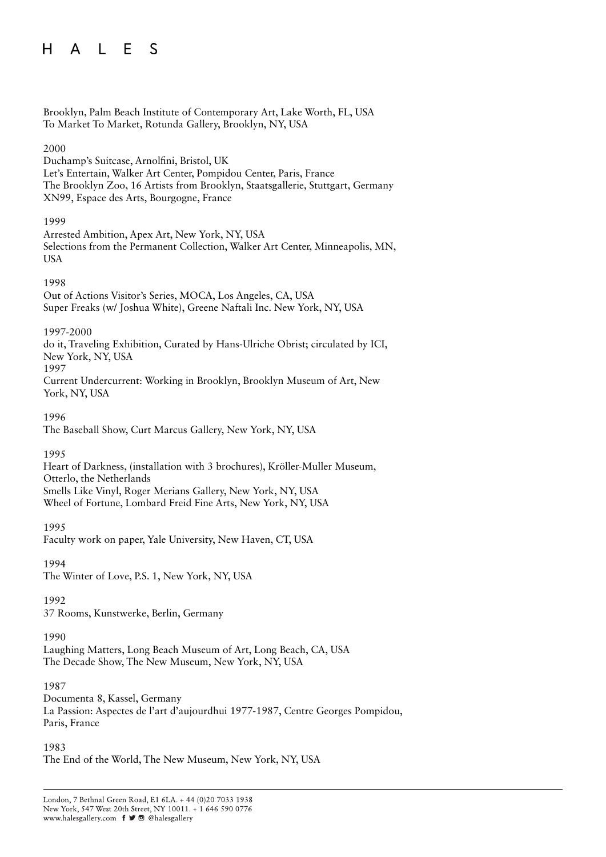### A L E S  $H$

Brooklyn, Palm Beach Institute of Contemporary Art, Lake Worth, FL, USA To Market To Market, Rotunda Gallery, Brooklyn, NY, USA

### 2000

Duchamp's Suitcase, Arnolfini, Bristol, UK Let's Entertain, Walker Art Center, Pompidou Center, Paris, France The Brooklyn Zoo, 16 Artists from Brooklyn, Staatsgallerie, Stuttgart, Germany XN99, Espace des Arts, Bourgogne, France

### 1999

Arrested Ambition, Apex Art, New York, NY, USA Selections from the Permanent Collection, Walker Art Center, Minneapolis, MN, USA

### 1998

Out of Actions Visitor's Series, MOCA, Los Angeles, CA, USA Super Freaks (w/ Joshua White), Greene Naftali Inc. New York, NY, USA

### 1997-2000

do it, Traveling Exhibition, Curated by Hans-Ulriche Obrist; circulated by ICI, New York, NY, USA 1997 Current Undercurrent: Working in Brooklyn, Brooklyn Museum of Art, New

York, NY, USA

1996

The Baseball Show, Curt Marcus Gallery, New York, NY, USA

1995

Heart of Darkness, (installation with 3 brochures), Kröller-Muller Museum, Otterlo, the Netherlands Smells Like Vinyl, Roger Merians Gallery, New York, NY, USA Wheel of Fortune, Lombard Freid Fine Arts, New York, NY, USA

1995

Faculty work on paper, Yale University, New Haven, CT, USA

1994

The Winter of Love, P.S. 1, New York, NY, USA

# 1992

37 Rooms, Kunstwerke, Berlin, Germany

1990

Laughing Matters, Long Beach Museum of Art, Long Beach, CA, USA The Decade Show, The New Museum, New York, NY, USA

### 1987

Documenta 8, Kassel, Germany La Passion: Aspectes de l'art d'aujourdhui 1977-1987, Centre Georges Pompidou, Paris, France

### 1983

The End of the World, The New Museum, New York, NY, USA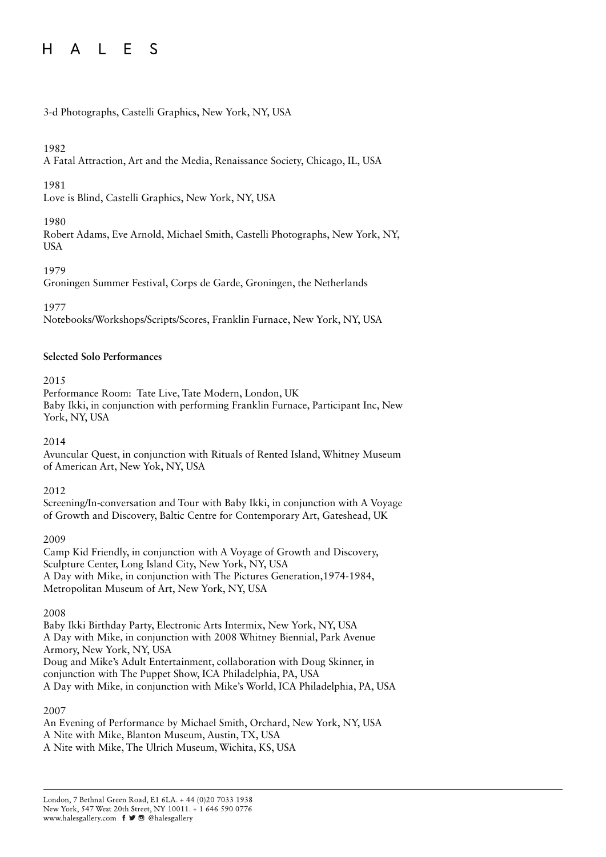#### A L E  $H$ - S

3-d Photographs, Castelli Graphics, New York, NY, USA

# 1982

A Fatal Attraction, Art and the Media, Renaissance Society, Chicago, IL, USA

### 1981

Love is Blind, Castelli Graphics, New York, NY, USA

### 1980

Robert Adams, Eve Arnold, Michael Smith, Castelli Photographs, New York, NY, USA

### 1979

Groningen Summer Festival, Corps de Garde, Groningen, the Netherlands

1977

Notebooks/Workshops/Scripts/Scores, Franklin Furnace, New York, NY, USA

### **Selected Solo Performances**

### 2015

Performance Room: Tate Live, Tate Modern, London, UK Baby Ikki, in conjunction with performing Franklin Furnace, Participant Inc, New York, NY, USA

### 2014

Avuncular Quest, in conjunction with Rituals of Rented Island, Whitney Museum of American Art, New Yok, NY, USA

### 2012

Screening/In-conversation and Tour with Baby Ikki, in conjunction with A Voyage of Growth and Discovery, Baltic Centre for Contemporary Art, Gateshead, UK

### 2009

Camp Kid Friendly, in conjunction with A Voyage of Growth and Discovery, Sculpture Center, Long Island City, New York, NY, USA A Day with Mike, in conjunction with The Pictures Generation,1974-1984, Metropolitan Museum of Art, New York, NY, USA

### 2008

Baby Ikki Birthday Party, Electronic Arts Intermix, New York, NY, USA A Day with Mike, in conjunction with 2008 Whitney Biennial, Park Avenue Armory, New York, NY, USA Doug and Mike's Adult Entertainment, collaboration with Doug Skinner, in conjunction with The Puppet Show, ICA Philadelphia, PA, USA A Day with Mike, in conjunction with Mike's World, ICA Philadelphia, PA, USA

# 2007

An Evening of Performance by Michael Smith, Orchard, New York, NY, USA A Nite with Mike, Blanton Museum, Austin, TX, USA A Nite with Mike, The Ulrich Museum, Wichita, KS, USA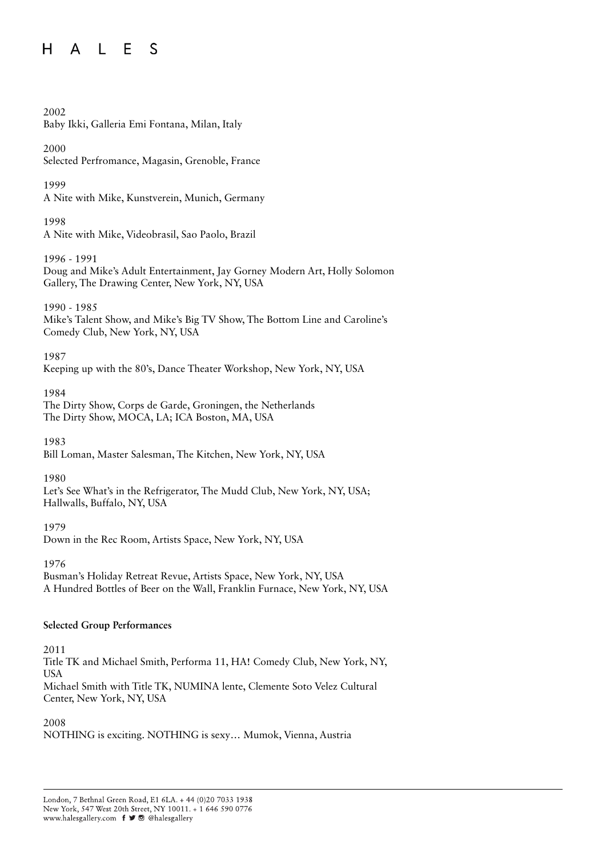# 2002 Baby Ikki, Galleria Emi Fontana, Milan, Italy 2000 Selected Perfromance, Magasin, Grenoble, France 1999 A Nite with Mike, Kunstverein, Munich, Germany 1998 A Nite with Mike, Videobrasil, Sao Paolo, Brazil 1996 - 1991 Doug and Mike's Adult Entertainment, Jay Gorney Modern Art, Holly Solomon Gallery, The Drawing Center, New York, NY, USA 1990 - 1985 Mike's Talent Show, and Mike's Big TV Show, The Bottom Line and Caroline's Comedy Club, New York, NY, USA 1987 Keeping up with the 80's, Dance Theater Workshop, New York, NY, USA 1984 The Dirty Show, Corps de Garde, Groningen, the Netherlands The Dirty Show, MOCA, LA; ICA Boston, MA, USA 1983 Bill Loman, Master Salesman, The Kitchen, New York, NY, USA 1980 Let's See What's in the Refrigerator, The Mudd Club, New York, NY, USA; Hallwalls, Buffalo, NY, USA 1979 Down in the Rec Room, Artists Space, New York, NY, USA 1976 Busman's Holiday Retreat Revue, Artists Space, New York, NY, USA A Hundred Bottles of Beer on the Wall, Franklin Furnace, New York, NY, USA **Selected Group Performances** 2011 Title TK and Michael Smith, Performa 11, HA! Comedy Club, New York, NY,

USA Michael Smith with Title TK, NUMINA lente, Clemente Soto Velez Cultural Center, New York, NY, USA

### 2008

NOTHING is exciting. NOTHING is sexy… Mumok, Vienna, Austria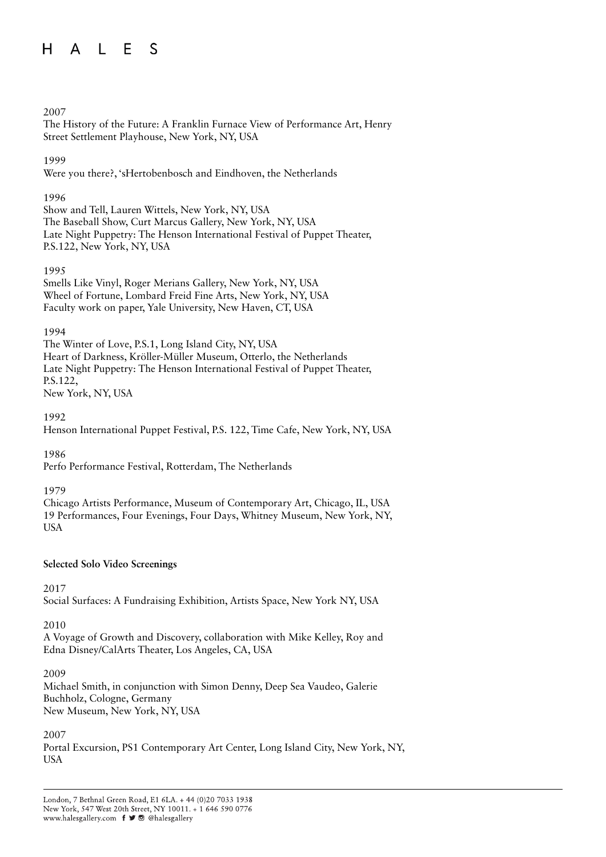# HALES

### 2007

The History of the Future: A Franklin Furnace View of Performance Art, Henry Street Settlement Playhouse, New York, NY, USA

### 1999

Were you there?, 'sHertobenbosch and Eindhoven, the Netherlands

### 1996

Show and Tell, Lauren Wittels, New York, NY, USA The Baseball Show, Curt Marcus Gallery, New York, NY, USA Late Night Puppetry: The Henson International Festival of Puppet Theater, P.S.122, New York, NY, USA

### 1995

Smells Like Vinyl, Roger Merians Gallery, New York, NY, USA Wheel of Fortune, Lombard Freid Fine Arts, New York, NY, USA Faculty work on paper, Yale University, New Haven, CT, USA

### 1994

The Winter of Love, P.S.1, Long Island City, NY, USA Heart of Darkness, Kröller-Müller Museum, Otterlo, the Netherlands Late Night Puppetry: The Henson International Festival of Puppet Theater, P.S.122, New York, NY, USA

### 1992

Henson International Puppet Festival, P.S. 122, Time Cafe, New York, NY, USA

1986

Perfo Performance Festival, Rotterdam, The Netherlands

### 1979

Chicago Artists Performance, Museum of Contemporary Art, Chicago, IL, USA 19 Performances, Four Evenings, Four Days, Whitney Museum, New York, NY, USA

### **Selected Solo Video Screenings**

### 2017

Social Surfaces: A Fundraising Exhibition, Artists Space, New York NY, USA

### 2010

A Voyage of Growth and Discovery, collaboration with Mike Kelley, Roy and Edna Disney/CalArts Theater, Los Angeles, CA, USA

### 2009

Michael Smith, in conjunction with Simon Denny, Deep Sea Vaudeo, Galerie Buchholz, Cologne, Germany New Museum, New York, NY, USA

### 2007

Portal Excursion, PS1 Contemporary Art Center, Long Island City, New York, NY, USA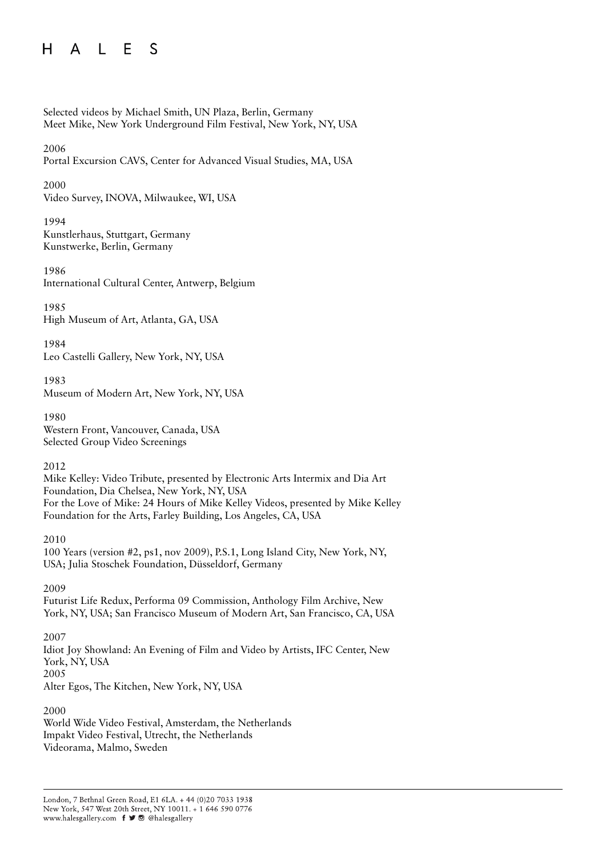Selected videos by Michael Smith, UN Plaza, Berlin, Germany Meet Mike, New York Underground Film Festival, New York, NY, USA

2006

Portal Excursion CAVS, Center for Advanced Visual Studies, MA, USA

2000

Video Survey, INOVA, Milwaukee, WI, USA

1994 Kunstlerhaus, Stuttgart, Germany Kunstwerke, Berlin, Germany

1986 International Cultural Center, Antwerp, Belgium

1985 High Museum of Art, Atlanta, GA, USA

1984 Leo Castelli Gallery, New York, NY, USA

1983 Museum of Modern Art, New York, NY, USA

1980 Western Front, Vancouver, Canada, USA Selected Group Video Screenings

2012

Mike Kelley: Video Tribute, presented by Electronic Arts Intermix and Dia Art Foundation, Dia Chelsea, New York, NY, USA For the Love of Mike: 24 Hours of Mike Kelley Videos, presented by Mike Kelley Foundation for the Arts, Farley Building, Los Angeles, CA, USA

2010

100 Years (version #2, ps1, nov 2009), P.S.1, Long Island City, New York, NY, USA; Julia Stoschek Foundation, Düsseldorf, Germany

2009

Futurist Life Redux, Performa 09 Commission, Anthology Film Archive, New York, NY, USA; San Francisco Museum of Modern Art, San Francisco, CA, USA

2007 Idiot Joy Showland: An Evening of Film and Video by Artists, IFC Center, New York, NY, USA 2005 Alter Egos, The Kitchen, New York, NY, USA

2000 World Wide Video Festival, Amsterdam, the Netherlands Impakt Video Festival, Utrecht, the Netherlands Videorama, Malmo, Sweden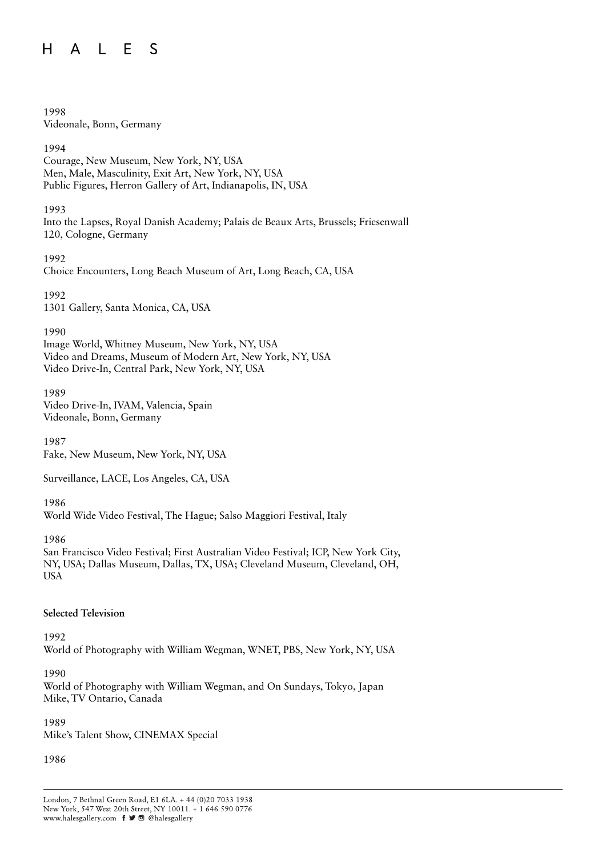1998 Videonale, Bonn, Germany

1994

Courage, New Museum, New York, NY, USA Men, Male, Masculinity, Exit Art, New York, NY, USA Public Figures, Herron Gallery of Art, Indianapolis, IN, USA

### 1993

Into the Lapses, Royal Danish Academy; Palais de Beaux Arts, Brussels; Friesenwall 120, Cologne, Germany

1992 Choice Encounters, Long Beach Museum of Art, Long Beach, CA, USA

1992 1301 Gallery, Santa Monica, CA, USA

### 1990

Image World, Whitney Museum, New York, NY, USA Video and Dreams, Museum of Modern Art, New York, NY, USA Video Drive-In, Central Park, New York, NY, USA

1989 Video Drive-In, IVAM, Valencia, Spain Videonale, Bonn, Germany

1987 Fake, New Museum, New York, NY, USA

Surveillance, LACE, Los Angeles, CA, USA

1986

World Wide Video Festival, The Hague; Salso Maggiori Festival, Italy

1986

San Francisco Video Festival; First Australian Video Festival; ICP, New York City, NY, USA; Dallas Museum, Dallas, TX, USA; Cleveland Museum, Cleveland, OH, **USA** 

### **Selected Television**

1992

World of Photography with William Wegman, WNET, PBS, New York, NY, USA

1990

World of Photography with William Wegman, and On Sundays, Tokyo, Japan Mike, TV Ontario, Canada

1989 Mike's Talent Show, CINEMAX Special

1986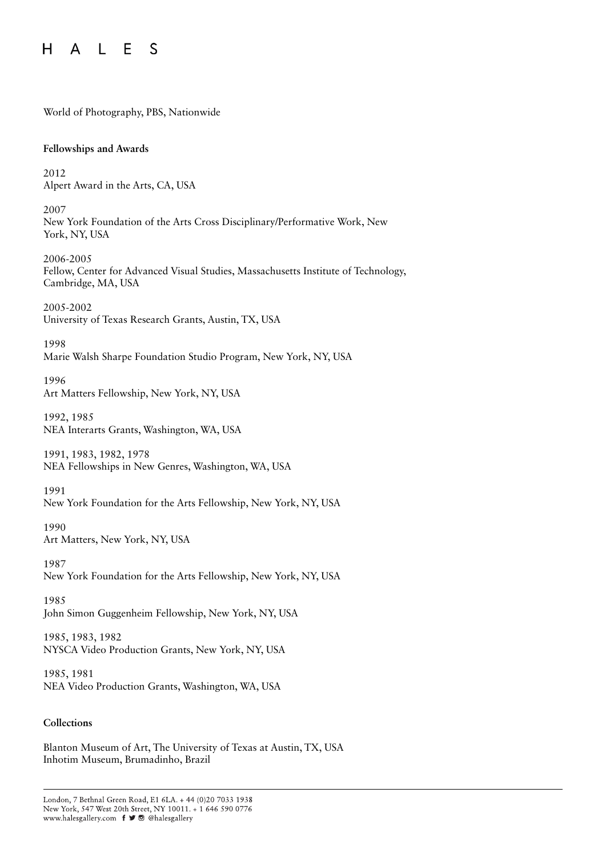World of Photography, PBS, Nationwide

### **Fellowships and Awards**

2012 Alpert Award in the Arts, CA, USA

2007 New York Foundation of the Arts Cross Disciplinary/Performative Work, New York, NY, USA

2006-2005 Fellow, Center for Advanced Visual Studies, Massachusetts Institute of Technology, Cambridge, MA, USA

2005-2002 University of Texas Research Grants, Austin, TX, USA

1998 Marie Walsh Sharpe Foundation Studio Program, New York, NY, USA

1996 Art Matters Fellowship, New York, NY, USA

1992, 1985 NEA Interarts Grants, Washington, WA, USA

1991, 1983, 1982, 1978 NEA Fellowships in New Genres, Washington, WA, USA

1991

New York Foundation for the Arts Fellowship, New York, NY, USA

1990 Art Matters, New York, NY, USA

1987 New York Foundation for the Arts Fellowship, New York, NY, USA

1985 John Simon Guggenheim Fellowship, New York, NY, USA

1985, 1983, 1982 NYSCA Video Production Grants, New York, NY, USA

1985, 1981 NEA Video Production Grants, Washington, WA, USA

### **Collections**

Blanton Museum of Art, The University of Texas at Austin, TX, USA Inhotim Museum, Brumadinho, Brazil